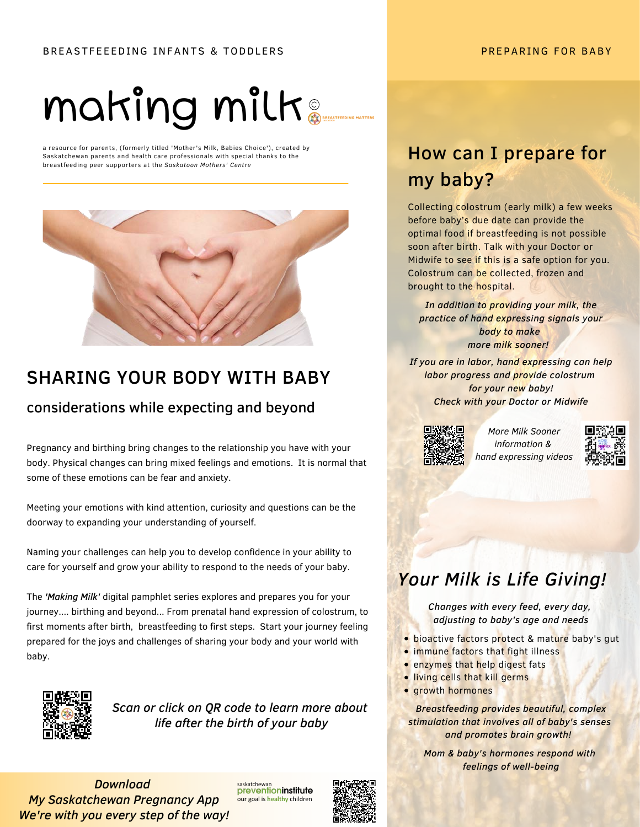# making milk

a resource for parents, (formerly titled 'Mother's Milk, Babies Choice'), created by Saskatchewan parents and health care professionals with special thanks to the breastfeeding peer supporters at the Saskatoon Mothers' Centre



# SHARING YOUR BODY WITH BABY

### considerations while expecting and beyond

Pregnancy and birthing bring changes to the relationship you have with your body. Physical changes can bring mixed feelings and emotions. It is normal that some of these emotions can be fear and anxiety.

Meeting your emotions with kind attention, curiosity and questions can be the doorway to expanding your understanding of yourself.

Naming your challenges can help you to develop confidence in your ability to care for yourself and grow your ability to respond to the needs of your baby.

The *'Making Milk'* digital pamphlet series explores and prepares you for your journey.... birthing and beyond... From prenatal hand expression of colostrum, to first moments after birth, breastfeeding to first steps. Start your journey feeling prepared for the joys and challenges of sharing your body and your world with baby.



*Scan or click on QR code to learn more about life after the birth of your baby*

*Download My Saskatchewan Pregnancy App We're with you every step of the way!*

saskatchewa preventioninstitute our goal is healthy children



# **How can I prepare for** my baby?

Collecting colostrum (early milk) a few weeks before baby's due date can provide the optimal food if breastfeeding is not possible soon after birth. Talk with your Doctor or Midwife to see if this is a safe option for you. Colostrum can be collected, frozen and brought to the hospital.

*In addition to providing your milk, the practice of hand expressing signals your body to make more milk sooner!* 

*If you are in labor, hand expressing can help labor progress and provide colostrum for your new baby! Check with your Doctor or Midwife*



*More Milk Sooner information & hand expressing videos*



# *Your Milk is Life Giving!*

*Changes with every feed, every day, adjusting to baby's age and needs*

- **.** bioactive factors protect & mature baby's gut
- **.** immune factors that fight illness
- **•** enzymes that help digest fats
- **.** living cells that kill germs
- **growth hormones**

*Breastfeeding provides beautiful, complex stimulation that involves all of baby's senses and promotes brain growth!* 

*Mom & baby's hormones respond with feelings of well-being*